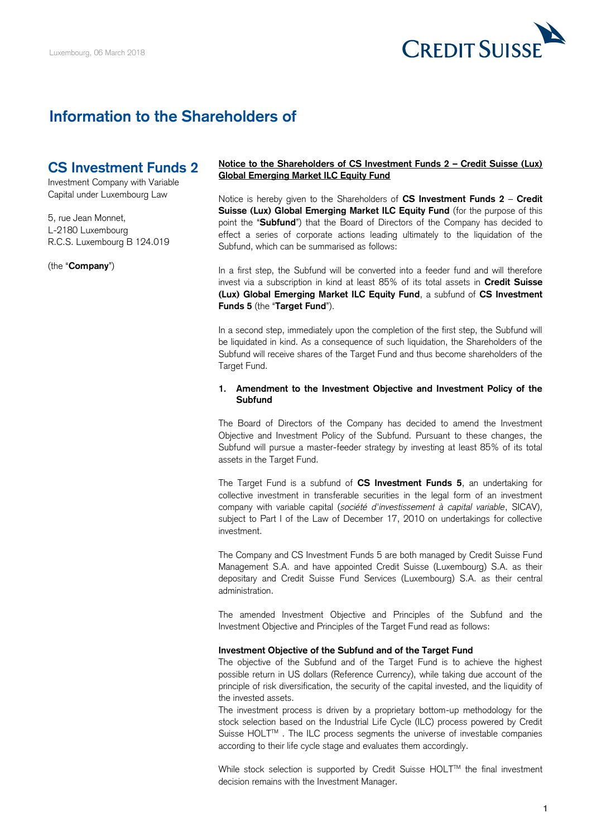

# **Information to the Shareholders of**

# **CS Investment Funds 2**

Investment Company with Variable Capital under Luxembourg Law

5, rue Jean Monnet, L-2180 Luxembourg R.C.S. Luxembourg B 124.019

(the "**Company**")

## **Notice to the Shareholders of CS Investment Funds 2 – Credit Suisse (Lux) Global Emerging Market ILC Equity Fund**

 Notice is hereby given to the Shareholders of **CS Investment Funds 2** – **Credit**  Suisse (Lux) Global Emerging Market ILC Equity Fund (for the purpose of this point the "**Subfund**") that the Board of Directors of the Company has decided to effect a series of corporate actions leading ultimately to the liquidation of the Subfund, which can be summarised as follows:

 In a first step, the Subfund will be converted into a feeder fund and will therefore invest via a subscription in kind at least 85% of its total assets in **Credit Suisse (Lux) Global Emerging Market ILC Equity Fund**, a subfund of **CS Investment Funds 5** (the "**Target Fund**").

 In a second step, immediately upon the completion of the first step, the Subfund will be liquidated in kind. As a consequence of such liquidation, the Shareholders of the Subfund will receive shares of the Target Fund and thus become shareholders of the Target Fund.

# **1. Amendment to the Investment Objective and Investment Policy of the Subfund**

 The Board of Directors of the Company has decided to amend the Investment Objective and Investment Policy of the Subfund. Pursuant to these changes, the Subfund will pursue a master-feeder strategy by investing at least 85% of its total assets in the Target Fund.

 The Target Fund is a subfund of **CS Investment Funds 5**, an undertaking for collective investment in transferable securities in the legal form of an investment company with variable capital (*société d'investissement à capital variable*, SICAV), subject to Part I of the Law of December 17, 2010 on undertakings for collective investment.

 The Company and CS Investment Funds 5 are both managed by Credit Suisse Fund Management S.A. and have appointed Credit Suisse (Luxembourg) S.A. as their depositary and Credit Suisse Fund Services (Luxembourg) S.A. as their central administration.

 The amended Investment Objective and Principles of the Subfund and the Investment Objective and Principles of the Target Fund read as follows:

#### **Investment Objective of the Subfund and of the Target Fund**

 The objective of the Subfund and of the Target Fund is to achieve the highest possible return in US dollars (Reference Currency), while taking due account of the principle of risk diversification, the security of the capital invested, and the liquidity of the invested assets.

 The investment process is driven by a proprietary bottom-up methodology for the stock selection based on the Industrial Life Cycle (ILC) process powered by Credit Suisse HOLT™. The ILC process segments the universe of investable companies according to their life cycle stage and evaluates them accordingly.

While stock selection is supported by Credit Suisse HOLT™ the final investment decision remains with the Investment Manager.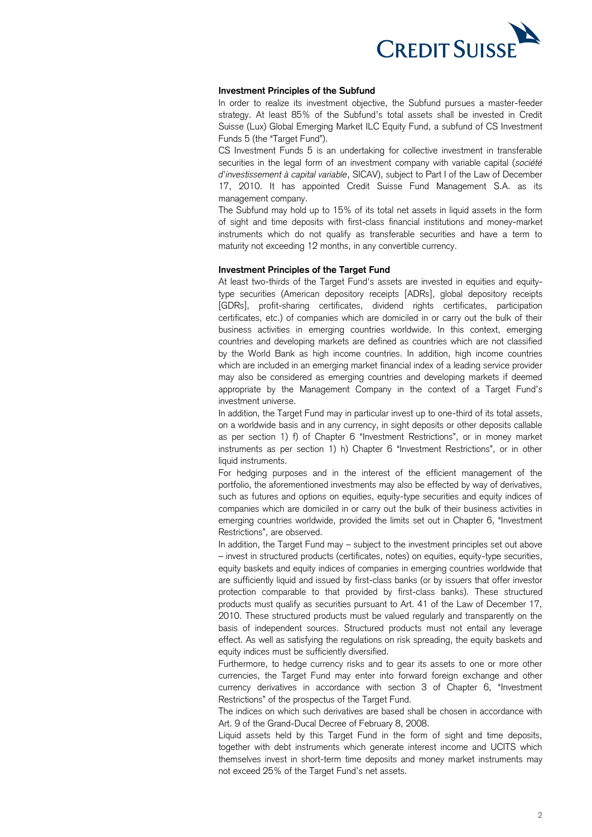

# **Investment Principles of the Subfund**

 In order to realize its investment objective, the Subfund pursues a master-feeder strategy. At least 85% of the Subfund's total assets shall be invested in Credit Suisse (Lux) Global Emerging Market ILC Equity Fund, a subfund of CS Investment Funds 5 (the "Target Fund").

 CS Investment Funds 5 is an undertaking for collective investment in transferable securities in the legal form of an investment company with variable capital (*société*  17, 2010. It has appointed Credit Suisse Fund Management S.A. as its *d'investissement à capital variable*, SICAV), subject to Part I of the Law of December management company.

 The Subfund may hold up to 15% of its total net assets in liquid assets in the form of sight and time deposits with first-class financial institutions and money-market instruments which do not qualify as transferable securities and have a term to maturity not exceeding 12 months, in any convertible currency.

#### **Investment Principles of the Target Fund**

 At least two-thirds of the Target Fund's assets are invested in equities and equity- type securities (American depository receipts [ADRs], global depository receipts certificates, etc.) of companies which are domiciled in or carry out the bulk of their business activities in emerging countries worldwide. In this context, emerging countries and developing markets are defined as countries which are not classified by the World Bank as high income countries. In addition, high income countries may also be considered as emerging countries and developing markets if deemed appropriate by the Management Company in the context of a Target Fund's [GDRs], profit-sharing certificates, dividend rights certificates, participation which are included in an emerging market financial index of a leading service provider investment universe.

 on a worldwide basis and in any currency, in sight deposits or other deposits callable as per section 1) f) of Chapter 6 "Investment Restrictions", or in money market instruments as per section 1) h) Chapter 6 "Investment Restrictions", or in other In addition, the Target Fund may in particular invest up to one-third of its total assets, liquid instruments.

 For hedging purposes and in the interest of the efficient management of the portfolio, the aforementioned investments may also be effected by way of derivatives, such as futures and options on equities, equity-type securities and equity indices of companies which are domiciled in or carry out the bulk of their business activities in emerging countries worldwide, provided the limits set out in Chapter 6, "Investment Restrictions", are observed.

 In addition, the Target Fund may – subject to the investment principles set out above – invest in structured products (certificates, notes) on equities, equity-type securities, equity baskets and equity indices of companies in emerging countries worldwide that are sufficiently liquid and issued by first-class banks (or by issuers that offer investor protection comparable to that provided by first-class banks). These structured products must qualify as securities pursuant to Art. 41 of the Law of December 17, 2010. These structured products must be valued regularly and transparently on the basis of independent sources. Structured products must not entail any leverage effect. As well as satisfying the regulations on risk spreading, the equity baskets and equity indices must be sufficiently diversified.

 Furthermore, to hedge currency risks and to gear its assets to one or more other currencies, the Target Fund may enter into forward foreign exchange and other currency derivatives in accordance with section 3 of Chapter 6, "Investment Restrictions" of the prospectus of the Target Fund.

 The indices on which such derivatives are based shall be chosen in accordance with Art. 9 of the Grand-Ducal Decree of February 8, 2008.

 Liquid assets held by this Target Fund in the form of sight and time deposits, together with debt instruments which generate interest income and UCITS which themselves invest in short-term time deposits and money market instruments may not exceed 25% of the Target Fund's net assets.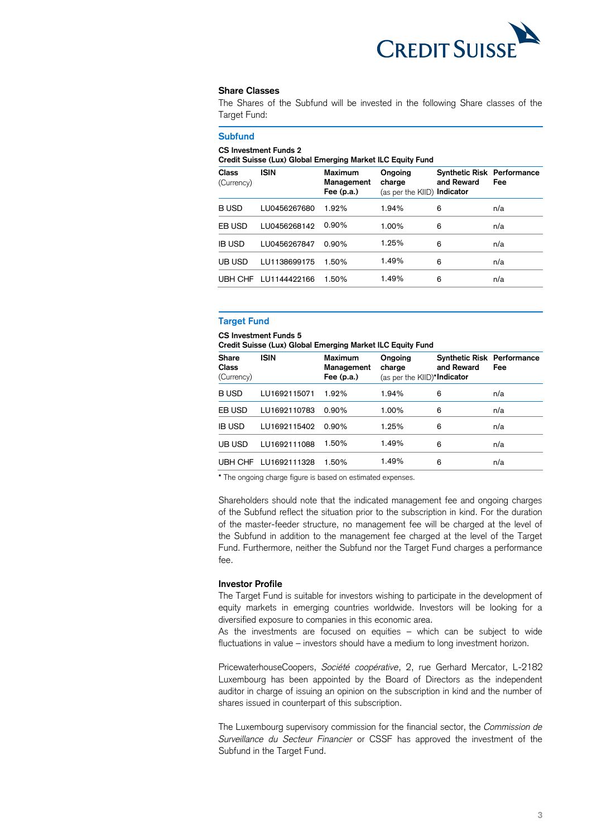

#### **Share Classes**

 The Shares of the Subfund will be invested in the following Share classes of the Target Fund:

# **Subfund**

#### **CS Investment Funds 2**

 **Credit Suisse (Lux) Global Emerging Market ILC Equity Fund** 

| <b>Class</b><br>(Currency) | <b>ISIN</b>  | <b>Maximum</b><br>Management<br>Fee $(p.a.)$ | Ongoing<br>charge<br>(as per the KIID) Indicator | <b>Synthetic Risk Performance</b><br>and Reward | Fee |
|----------------------------|--------------|----------------------------------------------|--------------------------------------------------|-------------------------------------------------|-----|
| <b>BUSD</b>                | LU0456267680 | 1.92%                                        | 1.94%                                            | 6                                               | n/a |
| EB USD                     | LU0456268142 | $0.90\%$                                     | 1.00%                                            | 6                                               | n/a |
| <b>IB USD</b>              | LU0456267847 | 0.90%                                        | 1.25%                                            | 6                                               | n/a |
| UB USD                     | LU1138699175 | 1.50%                                        | 1.49%                                            | 6                                               | n/a |
| UBH CHF                    | LU1144422166 | 1.50%                                        | 1.49%                                            | 6                                               | n/a |

# **Target Fund**

#### **CCS Investment Funds 5**

 **Credit Suisse (Lux) Global Emerging Market ILC Equity Fund** 

| <b>Share</b><br><b>Class</b><br>(Currency) | <b>ISIN</b>          | <b>Maximum</b><br>Management<br>Fee $(p.a.)$ | Ongoing<br>charge<br>(as per the KIID)* <b>Indicator</b> | <b>Synthetic Risk Performance</b><br>and Reward | Fee |
|--------------------------------------------|----------------------|----------------------------------------------|----------------------------------------------------------|-------------------------------------------------|-----|
| <b>BUSD</b>                                | LU1692115071         | 1.92%                                        | 1.94%                                                    | 6                                               | n/a |
| EB USD                                     | LU1692110783         | $0.90\%$                                     | 1.00%                                                    | 6                                               | n/a |
| <b>IB USD</b>                              | LU1692115402         | $0.90\%$                                     | 1.25%                                                    | 6                                               | n/a |
| UB USD                                     | LU1692111088         | 1.50%                                        | 1.49%                                                    | 6                                               | n/a |
|                                            | UBH CHF LU1692111328 | 1.50%                                        | 1.49%                                                    | 6                                               | n/a |

**\*** The ongoing charge figure is based on estimated expenses.

 Shareholders should note that the indicated management fee and ongoing charges of the Subfund reflect the situation prior to the subscription in kind. For the duration of the master-feeder structure, no management fee will be charged at the level of the Subfund in addition to the management fee charged at the level of the Target Fund. Furthermore, neither the Subfund nor the Target Fund charges a performance fee.

#### **Investor Profile**

 The Target Fund is suitable for investors wishing to participate in the development of equity markets in emerging countries worldwide. Investors will be looking for a diversified exposure to companies in this economic area.

 As the investments are focused on equities – which can be subject to wide fluctuations in value – investors should have a medium to long investment horizon.

 PricewaterhouseCoopers, *Société coopérative*, 2, rue Gerhard Mercator, L-2182 Luxembourg has been appointed by the Board of Directors as the independent auditor in charge of issuing an opinion on the subscription in kind and the number of shares issued in counterpart of this subscription.

 The Luxembourg supervisory commission for the financial sector, the *Commission de Surveillance du Secteur Financier* or CSSF has approved the investment of the Subfund in the Target Fund.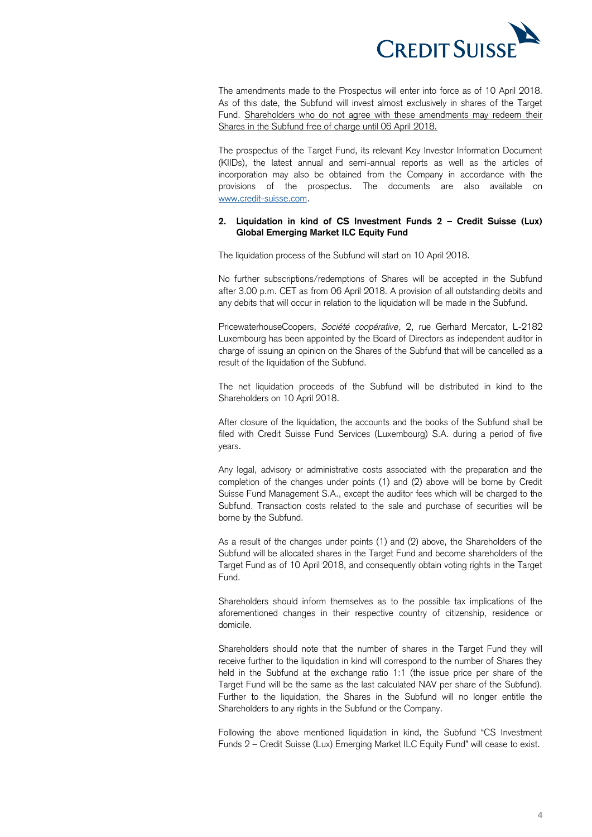

 The amendments made to the Prospectus will enter into force as of 10 April 2018. As of this date, the Subfund will invest almost exclusively in shares of the Target Fund. Shareholders who do not agree with these amendments may redeem their Shares in the Subfund free of charge until 06 April 2018.

 The prospectus of the Target Fund, its relevant Key Investor Information Document (KIIDs), the latest annual and semi-annual reports as well as the articles of incorporation may also be obtained from the Company in accordance with the provisions of the prospectus. The documents are also available on [www.credit-suisse.com.](http://www.credit-suisse.com/)

# **2. Liquidation in kind of CS Investment Funds 2 – Credit Suisse (Lux) Global Emerging Market ILC Equity Fund**

The liquidation process of the Subfund will start on 10 April 2018.

 No further subscriptions/redemptions of Shares will be accepted in the Subfund after 3.00 p.m. CET as from 06 April 2018. A provision of all outstanding debits and any debits that will occur in relation to the liquidation will be made in the Subfund.

 PricewaterhouseCoopers, *Société coopérative*, 2, rue Gerhard Mercator, L-2182 Luxembourg has been appointed by the Board of Directors as independent auditor in charge of issuing an opinion on the Shares of the Subfund that will be cancelled as a result of the liquidation of the Subfund.

 The net liquidation proceeds of the Subfund will be distributed in kind to the Shareholders on 10 April 2018.

 After closure of the liquidation, the accounts and the books of the Subfund shall be filed with Credit Suisse Fund Services (Luxembourg) S.A. during a period of five years.

 Any legal, advisory or administrative costs associated with the preparation and the completion of the changes under points (1) and (2) above will be borne by Credit Suisse Fund Management S.A., except the auditor fees which will be charged to the Subfund. Transaction costs related to the sale and purchase of securities will be borne by the Subfund.

 As a result of the changes under points (1) and (2) above, the Shareholders of the Subfund will be allocated shares in the Target Fund and become shareholders of the Target Fund as of 10 April 2018, and consequently obtain voting rights in the Target Fund.

Fund.<br>Shareholders should inform themselves as to the possible tax implications of the aforementioned changes in their respective country of citizenship, residence or domicile.

 Shareholders should note that the number of shares in the Target Fund they will receive further to the liquidation in kind will correspond to the number of Shares they held in the Subfund at the exchange ratio 1:1 (the issue price per share of the Target Fund will be the same as the last calculated NAV per share of the Subfund). Further to the liquidation, the Shares in the Subfund will no longer entitle the Shareholders to any rights in the Subfund or the Company.

 Following the above mentioned liquidation in kind, the Subfund "CS Investment Funds 2 – Credit Suisse (Lux) Emerging Market ILC Equity Fund" will cease to exist.